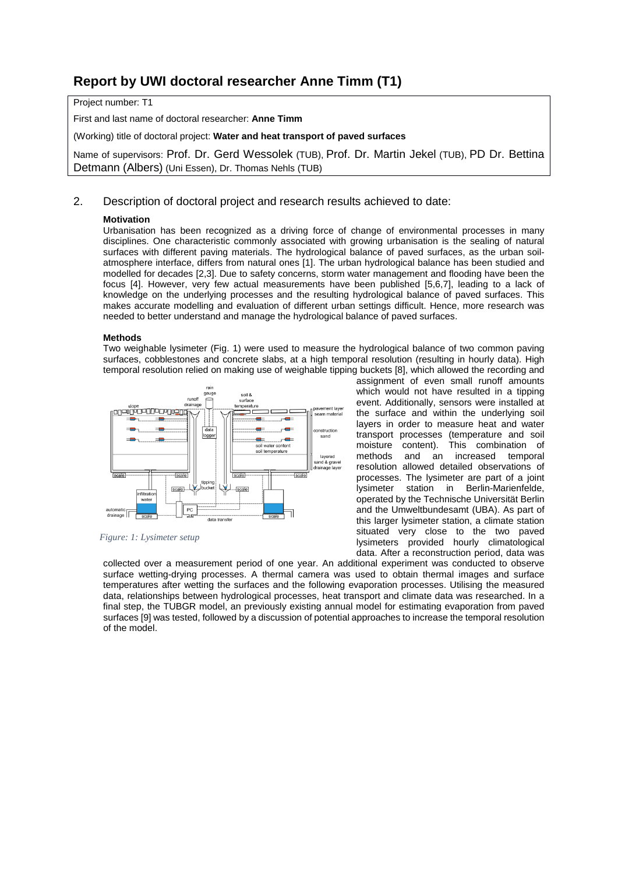# **Report by UWI doctoral researcher Anne Timm (T1)**

Project number: T1

First and last name of doctoral researcher: **Anne Timm**

(Working) title of doctoral project: **Water and heat transport of paved surfaces**

Name of supervisors: Prof. Dr. Gerd Wessolek (TUB), Prof. Dr. Martin Jekel (TUB), PD Dr. Bettina Detmann (Albers) (Uni Essen), Dr. Thomas Nehls (TUB)

# 2. Description of doctoral project and research results achieved to date:

# **Motivation**

Urbanisation has been recognized as a driving force of change of environmental processes in many disciplines. One characteristic commonly associated with growing urbanisation is the sealing of natural surfaces with different paving materials. The hydrological balance of paved surfaces, as the urban soilatmosphere interface, differs from natural ones [1]. The urban hydrological balance has been studied and modelled for decades [2,3]. Due to safety concerns, storm water management and flooding have been the focus [4]. However, very few actual measurements have been published [5,6,7], leading to a lack of knowledge on the underlying processes and the resulting hydrological balance of paved surfaces. This makes accurate modelling and evaluation of different urban settings difficult. Hence, more research was needed to better understand and manage the hydrological balance of paved surfaces.

# **Methods**

Two weighable lysimeter (Fig. 1) were used to measure the hydrological balance of two common paving surfaces, cobblestones and concrete slabs, at a high temporal resolution (resulting in hourly data). High temporal resolution relied on making use of weighable tipping buckets [8], which allowed the recording and



*Figure: 1: Lysimeter setup*

assignment of even small runoff amounts which would not have resulted in a tipping event. Additionally, sensors were installed at the surface and within the underlying soil layers in order to measure heat and water transport processes (temperature and soil moisture content). This combination of<br>methods and an increased temporal methods and an increased resolution allowed detailed observations of processes. The lysimeter are part of a joint lysimeter station in Berlin-Marienfelde, operated by the Technische Universität Berlin and the Umweltbundesamt (UBA). As part of this larger lysimeter station, a climate station situated very close to the two paved lysimeters provided hourly climatological data. After a reconstruction period, data was

collected over a measurement period of one year. An additional experiment was conducted to observe surface wetting-drying processes. A thermal camera was used to obtain thermal images and surface temperatures after wetting the surfaces and the following evaporation processes. Utilising the measured data, relationships between hydrological processes, heat transport and climate data was researched. In a final step, the TUBGR model, an previously existing annual model for estimating evaporation from paved surfaces [9] was tested, followed by a discussion of potential approaches to increase the temporal resolution of the model.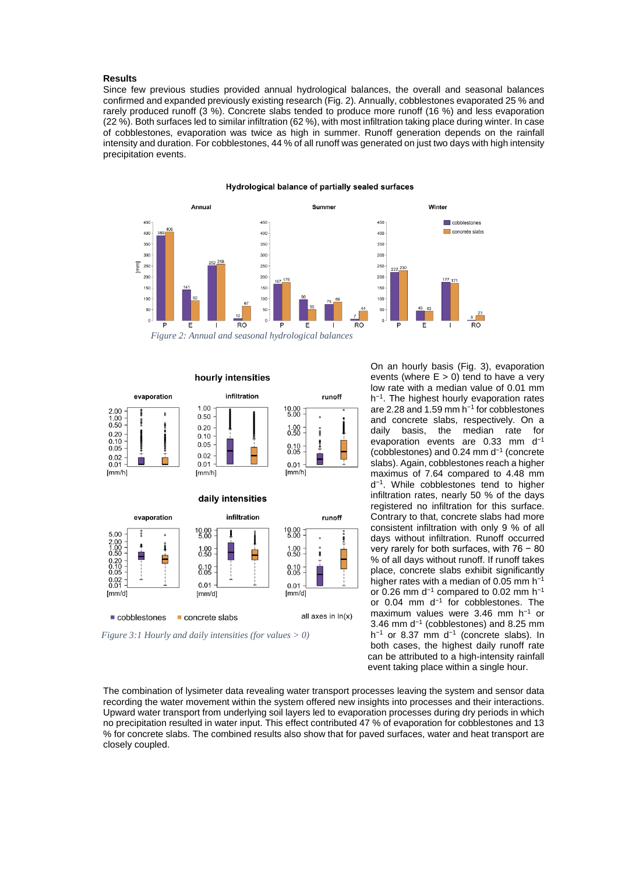### **Results**

Since few previous studies provided annual hydrological balances, the overall and seasonal balances confirmed and expanded previously existing research (Fig. 2). Annually, cobblestones evaporated 25 % and rarely produced runoff (3 %). Concrete slabs tended to produce more runoff (16 %) and less evaporation (22 %). Both surfaces led to similar infiltration (62 %), with most infiltration taking place during winter. In case of cobblestones, evaporation was twice as high in summer. Runoff generation depends on the rainfall intensity and duration. For cobblestones, 44 % of all runoff was generated on just two days with high intensity precipitation events.

#### Annua Summer Winter cobblestones 450 450 45  $40($ 400  $40($ concrete slabs 35 350 35  $30$ 300  $30<sup>°</sup>$  $\sqrt{2}$ 250 25 25  $\overline{20}$ 200  $200$  $15($ 150 15 100 100  $10<sup>c</sup>$  $\overline{5}$  $\overline{5}$  $RO$  $\overline{RO}$

#### Hydrological balance of partially sealed surfaces





*Figure 3:1 Hourly and daily intensities (for values > 0)*

On an hourly basis (Fig. 3), evaporation events (where  $E > 0$ ) tend to have a very low rate with a median value of 0.01 mm h<sup>-1</sup>. The highest hourly evaporation rates are 2.28 and 1.59 mm h<sup>−</sup><sup>1</sup> for cobblestones and concrete slabs, respectively. On a daily basis, the median rate for evaporation events are 0.33 mm d<sup>-1</sup> (cobblestones) and 0.24 mm d<sup>−</sup><sup>1</sup> (concrete slabs). Again, cobblestones reach a higher maximus of 7.64 compared to 4.48 mm d<sup>−</sup>1. While cobblestones tend to higher infiltration rates, nearly 50 % of the days registered no infiltration for this surface. Contrary to that, concrete slabs had more consistent infiltration with only 9 % of all days without infiltration. Runoff occurred very rarely for both surfaces, with 76 − 80 % of all days without runoff. If runoff takes place, concrete slabs exhibit significantly higher rates with a median of 0.05 mm h<sup>-1</sup> or 0.26 mm d<sup>−</sup><sup>1</sup> compared to 0.02 mm h<sup>−</sup><sup>1</sup> or 0.04 mm d<sup>−</sup><sup>1</sup> for cobblestones. The maximum values were 3.46 mm h<sup>−</sup><sup>1</sup> or 3.46 mm d<sup>−</sup><sup>1</sup> (cobblestones) and 8.25 mm h<sup>−</sup><sup>1</sup> or 8.37 mm d<sup>−</sup><sup>1</sup> (concrete slabs). In both cases, the highest daily runoff rate can be attributed to a high-intensity rainfall event taking place within a single hour.

The combination of lysimeter data revealing water transport processes leaving the system and sensor data recording the water movement within the system offered new insights into processes and their interactions. Upward water transport from underlying soil layers led to evaporation processes during dry periods in which no precipitation resulted in water input. This effect contributed 47 % of evaporation for cobblestones and 13 % for concrete slabs. The combined results also show that for paved surfaces, water and heat transport are closely coupled.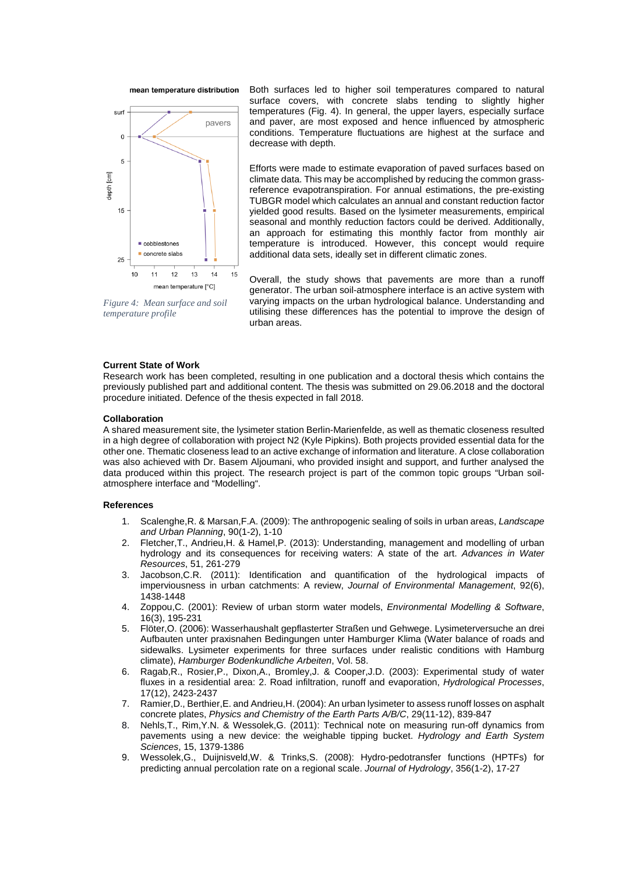



*Figure 4: Mean surface and soil temperature profile*

Both surfaces led to higher soil temperatures compared to natural surface covers, with concrete slabs tending to slightly higher temperatures (Fig. 4). In general, the upper layers, especially surface and paver, are most exposed and hence influenced by atmospheric conditions. Temperature fluctuations are highest at the surface and decrease with depth.

Efforts were made to estimate evaporation of paved surfaces based on climate data. This may be accomplished by reducing the common grassreference evapotranspiration. For annual estimations, the pre-existing TUBGR model which calculates an annual and constant reduction factor yielded good results. Based on the lysimeter measurements, empirical seasonal and monthly reduction factors could be derived. Additionally, an approach for estimating this monthly factor from monthly air temperature is introduced. However, this concept would require additional data sets, ideally set in different climatic zones.

Overall, the study shows that pavements are more than a runoff generator. The urban soil-atmosphere interface is an active system with varying impacts on the urban hydrological balance. Understanding and utilising these differences has the potential to improve the design of urban areas.

# **Current State of Work**

Research work has been completed, resulting in one publication and a doctoral thesis which contains the previously published part and additional content. The thesis was submitted on 29.06.2018 and the doctoral procedure initiated. Defence of the thesis expected in fall 2018.

### **Collaboration**

A shared measurement site, the lysimeter station Berlin-Marienfelde, as well as thematic closeness resulted in a high degree of collaboration with project N2 (Kyle Pipkins). Both projects provided essential data for the other one. Thematic closeness lead to an active exchange of information and literature. A close collaboration was also achieved with Dr. Basem Aljoumani, who provided insight and support, and further analysed the data produced within this project. The research project is part of the common topic groups "Urban soilatmosphere interface and "Modelling".

#### **References**

- 1. Scalenghe,R. & Marsan,F.A. (2009): The anthropogenic sealing of soils in urban areas, *Landscape and Urban Planning*, 90(1-2), 1-10
- 2. Fletcher,T., Andrieu,H. & Hamel,P. (2013): Understanding, management and modelling of urban hydrology and its consequences for receiving waters: A state of the art. *Advances in Water Resources*, 51, 261-279
- 3. Jacobson,C.R. (2011): Identification and quantification of the hydrological impacts of imperviousness in urban catchments: A review, *Journal of Environmental Management*, 92(6), 1438-1448
- 4. Zoppou,C. (2001): Review of urban storm water models, *Environmental Modelling & Software*, 16(3), 195-231
- 5. Flöter,O. (2006): Wasserhaushalt gepflasterter Straßen und Gehwege. Lysimeterversuche an drei Aufbauten unter praxisnahen Bedingungen unter Hamburger Klima (Water balance of roads and sidewalks. Lysimeter experiments for three surfaces under realistic conditions with Hamburg climate), *Hamburger Bodenkundliche Arbeiten*, Vol. 58.
- 6. Ragab,R., Rosier,P., Dixon,A., Bromley,J. & Cooper,J.D. (2003): Experimental study of water fluxes in a residential area: 2. Road infiltration, runoff and evaporation, *Hydrological Processes*, 17(12), 2423-2437
- 7. Ramier,D., Berthier,E. and Andrieu,H. (2004): An urban lysimeter to assess runoff losses on asphalt concrete plates, *Physics and Chemistry of the Earth Parts A/B/C*, 29(11-12), 839-847
- 8. Nehls,T., Rim,Y.N. & Wessolek,G. (2011): Technical note on measuring run-off dynamics from pavements using a new device: the weighable tipping bucket. *Hydrology and Earth System Sciences*, 15, 1379-1386
- 9. Wessolek,G., Duijnisveld,W. & Trinks,S. (2008): Hydro-pedotransfer functions (HPTFs) for predicting annual percolation rate on a regional scale. *Journal of Hydrology*, 356(1-2), 17-27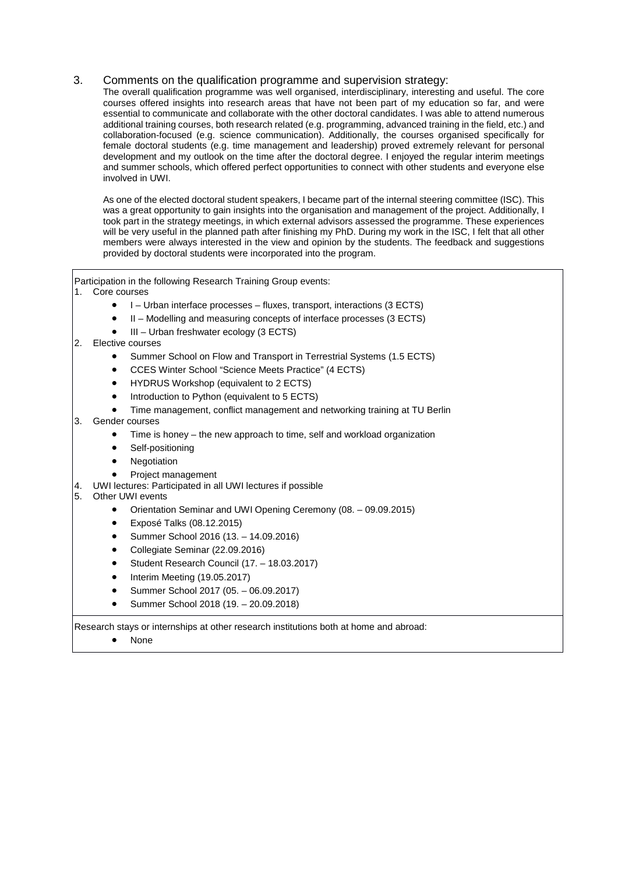# 3. Comments on the qualification programme and supervision strategy:

The overall qualification programme was well organised, interdisciplinary, interesting and useful. The core courses offered insights into research areas that have not been part of my education so far, and were essential to communicate and collaborate with the other doctoral candidates. I was able to attend numerous additional training courses, both research related (e.g. programming, advanced training in the field, etc.) and collaboration-focused (e.g. science communication). Additionally, the courses organised specifically for female doctoral students (e.g. time management and leadership) proved extremely relevant for personal development and my outlook on the time after the doctoral degree. I enjoyed the regular interim meetings and summer schools, which offered perfect opportunities to connect with other students and everyone else involved in UWI.

As one of the elected doctoral student speakers, I became part of the internal steering committee (ISC). This was a great opportunity to gain insights into the organisation and management of the project. Additionally, I took part in the strategy meetings, in which external advisors assessed the programme. These experiences will be very useful in the planned path after finishing my PhD. During my work in the ISC, I felt that all other members were always interested in the view and opinion by the students. The feedback and suggestions provided by doctoral students were incorporated into the program.

Participation in the following Research Training Group events:

# 1. Core courses

- I Urban interface processes fluxes, transport, interactions (3 ECTS)
- II Modelling and measuring concepts of interface processes (3 ECTS)
- III Urban freshwater ecology (3 ECTS)
- 2. Elective courses
	- Summer School on Flow and Transport in Terrestrial Systems (1.5 ECTS)
	- CCES Winter School "Science Meets Practice" (4 ECTS)
	- HYDRUS Workshop (equivalent to 2 ECTS)
	- Introduction to Python (equivalent to 5 ECTS)
	- Time management, conflict management and networking training at TU Berlin

# 3. Gender courses

- Time is honey the new approach to time, self and workload organization
- Self-positioning
- **Negotiation**
- Project management
- 4. UWI lectures: Participated in all UWI lectures if possible

# 5. Other UWI events

- Orientation Seminar and UWI Opening Ceremony (08. 09.09.2015)
- Exposé Talks (08.12.2015)
- Summer School 2016 (13. 14.09.2016)
- Collegiate Seminar (22.09.2016)
- Student Research Council (17. 18.03.2017)
- Interim Meeting (19.05.2017)
- Summer School 2017 (05. 06.09.2017)
- Summer School 2018 (19. 20.09.2018)

Research stays or internships at other research institutions both at home and abroad:

• None